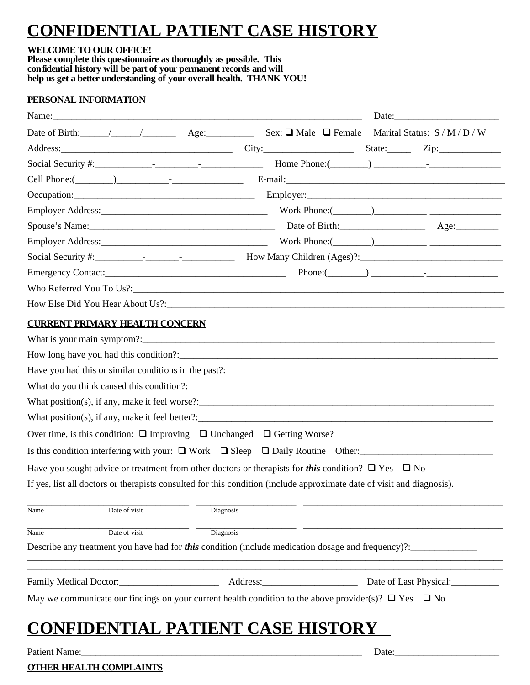# **CONFIDENTIAL PATIENT CASE HISTORY**

#### **WELCOME TO OUR OFFICE!**

**Please complete this questionnaire as thoroughly as possible. This confidential history will be part of your permanent records and will help us get a better understanding of your overall health. THANK YOU!**

### **PERSONAL INFORMATION**

| Name:                                                                                                                  |                                                                                                                                                                                                                                                                                                                                          |       |                        |
|------------------------------------------------------------------------------------------------------------------------|------------------------------------------------------------------------------------------------------------------------------------------------------------------------------------------------------------------------------------------------------------------------------------------------------------------------------------------|-------|------------------------|
|                                                                                                                        |                                                                                                                                                                                                                                                                                                                                          |       |                        |
| Address: Zip: Zip: City: City: City: State: Zip:                                                                       |                                                                                                                                                                                                                                                                                                                                          |       |                        |
|                                                                                                                        | Home Phone: $\qquad \qquad$ $\qquad$ $\qquad$ $\qquad$ $\qquad$ $\qquad$ $\qquad$ $\qquad$ $\qquad$ $\qquad$ $\qquad$ $\qquad$ $\qquad$ $\qquad$ $\qquad$ $\qquad$ $\qquad$ $\qquad$ $\qquad$ $\qquad$ $\qquad$ $\qquad$ $\qquad$ $\qquad$ $\qquad$ $\qquad$ $\qquad$ $\qquad$ $\qquad$ $\qquad$ $\qquad$ $\qquad$ $\qquad$ $\qquad$ $\$ |       |                        |
| Cell Phone:( $\qquad$ ) $\qquad$ $\qquad$ $\qquad$ $\qquad$ $\qquad$ E-mail:                                           |                                                                                                                                                                                                                                                                                                                                          |       |                        |
|                                                                                                                        |                                                                                                                                                                                                                                                                                                                                          |       |                        |
|                                                                                                                        |                                                                                                                                                                                                                                                                                                                                          |       |                        |
|                                                                                                                        |                                                                                                                                                                                                                                                                                                                                          |       |                        |
|                                                                                                                        |                                                                                                                                                                                                                                                                                                                                          |       |                        |
|                                                                                                                        |                                                                                                                                                                                                                                                                                                                                          |       |                        |
|                                                                                                                        |                                                                                                                                                                                                                                                                                                                                          |       |                        |
|                                                                                                                        |                                                                                                                                                                                                                                                                                                                                          |       |                        |
|                                                                                                                        |                                                                                                                                                                                                                                                                                                                                          |       |                        |
| <b>CURRENT PRIMARY HEALTH CONCERN</b>                                                                                  |                                                                                                                                                                                                                                                                                                                                          |       |                        |
| What is your main symptom?:                                                                                            |                                                                                                                                                                                                                                                                                                                                          |       |                        |
|                                                                                                                        |                                                                                                                                                                                                                                                                                                                                          |       |                        |
|                                                                                                                        |                                                                                                                                                                                                                                                                                                                                          |       |                        |
|                                                                                                                        |                                                                                                                                                                                                                                                                                                                                          |       |                        |
| What position(s), if any, make it feel worse?: $\frac{1}{2}$                                                           |                                                                                                                                                                                                                                                                                                                                          |       |                        |
| What position(s), if any, make it feel better?: $\frac{1}{2}$                                                          |                                                                                                                                                                                                                                                                                                                                          |       |                        |
| Over time, is this condition: $\Box$ Improving $\Box$ Unchanged $\Box$ Getting Worse?                                  |                                                                                                                                                                                                                                                                                                                                          |       |                        |
| Is this condition interfering with your: $\Box$ Work $\Box$ Sleep $\Box$ Daily Routine Other:                          |                                                                                                                                                                                                                                                                                                                                          |       |                        |
| Have you sought advice or treatment from other doctors or therapists for <b>this</b> condition? $\Box$ Yes $\Box$ No   |                                                                                                                                                                                                                                                                                                                                          |       |                        |
| If yes, list all doctors or therapists consulted for this condition (include approximate date of visit and diagnosis). |                                                                                                                                                                                                                                                                                                                                          |       |                        |
| Date of visit<br>Name                                                                                                  | Diagnosis                                                                                                                                                                                                                                                                                                                                |       |                        |
| Name<br>Date of visit                                                                                                  | Diagnosis                                                                                                                                                                                                                                                                                                                                |       |                        |
| Describe any treatment you have had for <i>this</i> condition (include medication dosage and frequency)?               |                                                                                                                                                                                                                                                                                                                                          |       |                        |
|                                                                                                                        |                                                                                                                                                                                                                                                                                                                                          |       | Date of Last Physical: |
| May we communicate our findings on your current health condition to the above provider(s)? $\Box$ Yes $\Box$ No        |                                                                                                                                                                                                                                                                                                                                          |       |                        |
|                                                                                                                        |                                                                                                                                                                                                                                                                                                                                          |       |                        |
| <b>CONFIDENTIAL PATIENT CASE HISTORY</b>                                                                               |                                                                                                                                                                                                                                                                                                                                          |       |                        |
| Patient Name:                                                                                                          |                                                                                                                                                                                                                                                                                                                                          | Date: |                        |

**OTHER HEALTH COMPLAINTS**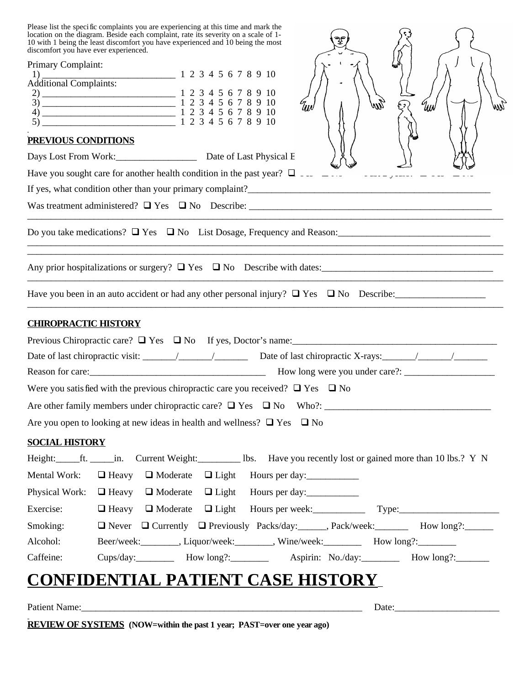Please list the specific complaints you are experiencing at this time and mark the location on the diagram. Beside each complaint, rate its severity on a scale of 1- 10 with 1 being the least discomfort you have experienced and 10 being the most discomfort you have ever experienced.

| I icase ilse une speci ne complaints you are experiencing at this time and mark the<br>location on the diagram. Beside each complaint, rate its severity on a scale of 1-<br>10 with 1 being the least discomfort you have experienced and 10 being the most<br>discomfort you have ever experienced.                                                                                                 |
|-------------------------------------------------------------------------------------------------------------------------------------------------------------------------------------------------------------------------------------------------------------------------------------------------------------------------------------------------------------------------------------------------------|
| Primary Complaint:                                                                                                                                                                                                                                                                                                                                                                                    |
| 1) $\frac{1}{\text{Additional Complaints:}}$ 1 2 3 4 5 6 7 8 9 10                                                                                                                                                                                                                                                                                                                                     |
| $\frac{2}{2}$ $\frac{1}{2}$ $\frac{3}{4}$ $\frac{4}{5}$ $\frac{6}{5}$ $\frac{7}{8}$ $\frac{8}{9}$ $\frac{10}{10}$                                                                                                                                                                                                                                                                                     |
| $\frac{3}{3}$<br>$\frac{1}{2}$<br>$\frac{1}{2}$<br>$\frac{1}{2}$<br>$\frac{1}{2}$<br>$\frac{1}{2}$<br>$\frac{1}{2}$<br>$\frac{1}{2}$<br>$\frac{1}{2}$<br>$\frac{1}{2}$<br>$\frac{1}{2}$<br>$\frac{1}{2}$<br>$\frac{1}{2}$<br>$\frac{1}{2}$<br>$\frac{1}{2}$<br>$\frac{1}{2}$<br>$\frac{1}{2}$<br>$\frac{1}{2}$<br>$\frac{1}{2}$<br>$\frac{1}{2}$<br><br>EW)<br><sup>6</sup> tuv<br>UW<br>Ш<br>$\zeta$ |
|                                                                                                                                                                                                                                                                                                                                                                                                       |
| PREVIOUS CONDITIONS                                                                                                                                                                                                                                                                                                                                                                                   |
|                                                                                                                                                                                                                                                                                                                                                                                                       |
| Have you sought care for another health condition in the past year? $\Box$                                                                                                                                                                                                                                                                                                                            |
|                                                                                                                                                                                                                                                                                                                                                                                                       |
|                                                                                                                                                                                                                                                                                                                                                                                                       |
| Do you take medications? $\Box$ Yes $\Box$ No List Dosage, Frequency and Reason:                                                                                                                                                                                                                                                                                                                      |
| Any prior hospitalizations or surgery? $\Box$ Yes $\Box$ No Describe with dates:                                                                                                                                                                                                                                                                                                                      |
| Have you been in an auto accident or had any other personal injury? $\Box$ Yes $\Box$ No Describe:                                                                                                                                                                                                                                                                                                    |
| <b>CHIROPRACTIC HISTORY</b>                                                                                                                                                                                                                                                                                                                                                                           |
| Previous Chiropractic care? $\Box$ Yes $\Box$ No If yes, Doctor's name:                                                                                                                                                                                                                                                                                                                               |
|                                                                                                                                                                                                                                                                                                                                                                                                       |
|                                                                                                                                                                                                                                                                                                                                                                                                       |
| Were you satisfied with the previous chiropractic care you received? $\Box$ Yes $\Box$ No                                                                                                                                                                                                                                                                                                             |
|                                                                                                                                                                                                                                                                                                                                                                                                       |
| Are you open to looking at new ideas in health and wellness? $\Box$ Yes $\Box$ No                                                                                                                                                                                                                                                                                                                     |
| <b>SOCIAL HISTORY</b>                                                                                                                                                                                                                                                                                                                                                                                 |
| Height: ______ft. ______in. Current Weight: _____________ lbs. Have you recently lost or gained more than 10 lbs.? Y N                                                                                                                                                                                                                                                                                |
| Mental Work:<br>□ Heavy □ Moderate □ Light Hours per day:                                                                                                                                                                                                                                                                                                                                             |
| Physical Work: $\Box$ Heavy $\Box$ Moderate $\Box$ Light Hours per day:                                                                                                                                                                                                                                                                                                                               |
| □ Heavy □ Moderate □ Light Hours per week: Type: Type:<br>Exercise:                                                                                                                                                                                                                                                                                                                                   |
| Smoking:<br>□ Never □ Currently □ Previously Packs/day: ______, Pack/week: _______ How long?: ______                                                                                                                                                                                                                                                                                                  |
| Beer/week:_________, Liquor/week:________, Wine/week:___________ How long?:_________<br>Alcohol:                                                                                                                                                                                                                                                                                                      |
| Cups/day: How long?: ________ Aspirin: No./day: _______ How long?: ______<br>Caffeine:                                                                                                                                                                                                                                                                                                                |
| <b>CONFIDENTIAL PATIENT CASE HISTORY_</b>                                                                                                                                                                                                                                                                                                                                                             |

| Patient<br>таппе |  | Date                 |  |  |  |
|------------------|--|----------------------|--|--|--|
| $\mathbf{D}$     |  | $\sim$ $\sim$ $\sim$ |  |  |  |

**REVIEW OF SYSTEMS (NOW=within the past 1 year; PAST=over one year ago)**